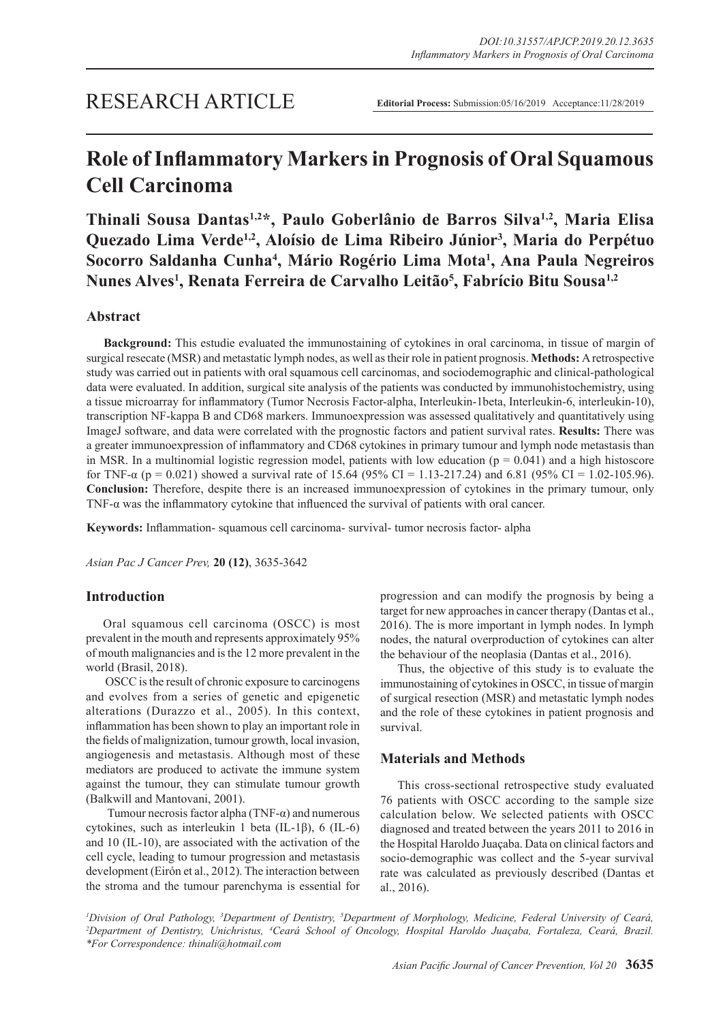# **Role of Inflammatory Markers in Prognosis of Oral Squamous Cell Carcinoma**

**Thinali Sousa Dantas1,2\*, Paulo Goberlânio de Barros Silva1,2, Maria Elisa Quezado Lima Verde1,2, Aloísio de Lima Ribeiro Júnior<sup>3</sup> , Maria do Perpétuo Socorro Saldanha Cunha<sup>4</sup> , Mário Rogério Lima Mota<sup>1</sup> , Ana Paula Negreiros Nunes Alves<sup>1</sup> , Renata Ferreira de Carvalho Leitão<sup>5</sup> , Fabrício Bitu Sousa1,2**

# **Abstract**

**Background:** This estudie evaluated the immunostaining of cytokines in oral carcinoma, in tissue of margin of surgical resecate (MSR) and metastatic lymph nodes, as well as their role in patient prognosis. **Methods:** A retrospective study was carried out in patients with oral squamous cell carcinomas, and sociodemographic and clinical-pathological data were evaluated. In addition, surgical site analysis of the patients was conducted by immunohistochemistry, using a tissue microarray for inflammatory (Tumor Necrosis Factor-alpha, Interleukin-1beta, Interleukin-6, interleukin-10), transcription NF-kappa B and CD68 markers. Immunoexpression was assessed qualitatively and quantitatively using ImageJ software, and data were correlated with the prognostic factors and patient survival rates. **Results:** There was a greater immunoexpression of inflammatory and CD68 cytokines in primary tumour and lymph node metastasis than in MSR. In a multinomial logistic regression model, patients with low education ( $p = 0.041$ ) and a high histoscore for TNF- $\alpha$  (p = 0.021) showed a survival rate of 15.64 (95% CI = 1.13-217.24) and 6.81 (95% CI = 1.02-105.96). **Conclusion:** Therefore, despite there is an increased immunoexpression of cytokines in the primary tumour, only TNF-α was the inflammatory cytokine that influenced the survival of patients with oral cancer.

**Keywords:** Inflammation- squamous cell carcinoma- survival- tumor necrosis factor- alpha

*Asian Pac J Cancer Prev,* **20 (12)**, 3635-3642

## **Introduction**

Oral squamous cell carcinoma (OSCC) is most prevalent in the mouth and represents approximately 95% of mouth malignancies and is the 12 more prevalent in the world (Brasil, 2018).

 OSCC is the result of chronic exposure to carcinogens and evolves from a series of genetic and epigenetic alterations (Durazzo et al., 2005). In this context, inflammation has been shown to play an important role in the fields of malignization, tumour growth, local invasion, angiogenesis and metastasis. Although most of these mediators are produced to activate the immune system against the tumour, they can stimulate tumour growth (Balkwill and Mantovani, 2001).

Tumour necrosis factor alpha (TNF- $\alpha$ ) and numerous cytokines, such as interleukin 1 beta (IL-1β), 6 (IL-6) and 10 (IL-10), are associated with the activation of the cell cycle, leading to tumour progression and metastasis development (Eirón et al., 2012). The interaction between the stroma and the tumour parenchyma is essential for

progression and can modify the prognosis by being a target for new approaches in cancer therapy (Dantas et al., 2016). The is more important in lymph nodes. In lymph nodes, the natural overproduction of cytokines can alter the behaviour of the neoplasia (Dantas et al., 2016).

Thus, the objective of this study is to evaluate the immunostaining of cytokines in OSCC, in tissue of margin of surgical resection (MSR) and metastatic lymph nodes and the role of these cytokines in patient prognosis and survival.

## **Materials and Methods**

This cross-sectional retrospective study evaluated 76 patients with OSCC according to the sample size calculation below. We selected patients with OSCC diagnosed and treated between the years 2011 to 2016 in the Hospital Haroldo Juaçaba. Data on clinical factors and socio-demographic was collect and the 5-year survival rate was calculated as previously described (Dantas et al., 2016).

<sup>1</sup>Division of Oral Pathology, <sup>3</sup>Department of Dentistry, <sup>5</sup>Department of Morphology, Medicine, Federal University of Ceará,<br><sup>2</sup>Department of Dentistry, Unichristys, <sup>4</sup>Ceará, School of Oncology, Hospital Haroldo, Juacob *Department of Dentistry, Unichristus, 4 Ceará School of Oncology, Hospital Haroldo Juaçaba, Fortaleza, Ceará, Brazil. \*For Correspondence: thinali@hotmail.com*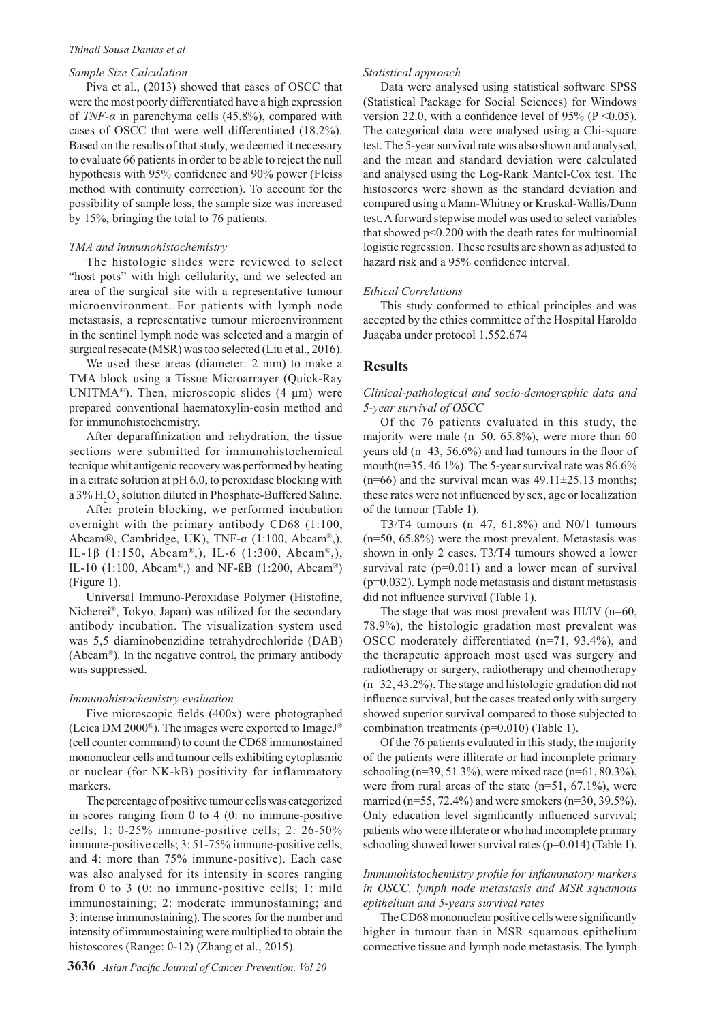#### *Thinali Sousa Dantas et al*

## *Sample Size Calculation*

Piva et al., (2013) showed that cases of OSCC that were the most poorly differentiated have a high expression of *TNF-α* in parenchyma cells (45.8%), compared with cases of OSCC that were well differentiated (18.2%). Based on the results of that study, we deemed it necessary to evaluate 66 patients in order to be able to reject the null hypothesis with 95% confidence and 90% power (Fleiss method with continuity correction). To account for the possibility of sample loss, the sample size was increased by 15%, bringing the total to 76 patients.

#### *TMA and immunohistochemistry*

The histologic slides were reviewed to select "host pots" with high cellularity, and we selected an area of the surgical site with a representative tumour microenvironment. For patients with lymph node metastasis, a representative tumour microenvironment in the sentinel lymph node was selected and a margin of surgical resecate (MSR) was too selected (Liu et al., 2016).

We used these areas (diameter: 2 mm) to make a TMA block using a Tissue Microarrayer (Quick-Ray UNITMA<sup>®</sup>). Then, microscopic slides  $(4 \mu m)$  were prepared conventional haematoxylin-eosin method and for immunohistochemistry.

After deparaffinization and rehydration, the tissue sections were submitted for immunohistochemical tecnique whit antigenic recovery was performed by heating in a citrate solution at pH 6.0, to peroxidase blocking with a 3%  $\rm H_2O_2$  solution diluted in Phosphate-Buffered Saline.

After protein blocking, we performed incubation overnight with the primary antibody CD68 (1:100, Abcam®, Cambridge, UK), TNF-α (1:100, Abcam®,), IL-1β (1:150, Abcam®,), IL-6 (1:300, Abcam®,), IL-10 (1:100, Abcam®) and NF- $R$ B (1:200, Abcam®) (Figure 1).

Universal Immuno-Peroxidase Polymer (Histofine, Nicherei®, Tokyo, Japan) was utilized for the secondary antibody incubation. The visualization system used was 5,5 diaminobenzidine tetrahydrochloride (DAB) (Abcam®). In the negative control, the primary antibody was suppressed.

#### *Immunohistochemistry evaluation*

Five microscopic fields (400x) were photographed (Leica DM 2000®). The images were exported to ImageJ® (cell counter command) to count the CD68 immunostained mononuclear cells and tumour cells exhibiting cytoplasmic or nuclear (for NK-kB) positivity for inflammatory markers.

The percentage of positive tumour cells was categorized in scores ranging from 0 to 4 (0: no immune-positive cells; 1: 0-25% immune-positive cells; 2: 26-50% immune-positive cells; 3: 51-75% immune-positive cells; and 4: more than 75% immune-positive). Each case was also analysed for its intensity in scores ranging from 0 to 3 (0: no immune-positive cells; 1: mild immunostaining; 2: moderate immunostaining; and 3: intense immunostaining). The scores for the number and intensity of immunostaining were multiplied to obtain the histoscores (Range: 0-12) (Zhang et al., 2015).

#### *Statistical approach*

Data were analysed using statistical software SPSS (Statistical Package for Social Sciences) for Windows version 22.0, with a confidence level of 95% ( $P \le 0.05$ ). The categorical data were analysed using a Chi-square test. The 5-year survival rate was also shown and analysed, and the mean and standard deviation were calculated and analysed using the Log-Rank Mantel-Cox test. The histoscores were shown as the standard deviation and compared using a Mann-Whitney or Kruskal-Wallis/Dunn test. A forward stepwise model was used to select variables that showed p<0.200 with the death rates for multinomial logistic regression. These results are shown as adjusted to hazard risk and a 95% confidence interval.

#### *Ethical Correlations*

This study conformed to ethical principles and was accepted by the ethics committee of the Hospital Haroldo Juaçaba under protocol 1.552.674

## **Results**

*Clinical-pathological and socio-demographic data and 5-year survival of OSCC*

Of the 76 patients evaluated in this study, the majority were male (n=50, 65.8%), were more than 60 years old (n=43, 56.6%) and had tumours in the floor of mouth( $n=35, 46.1\%$ ). The 5-year survival rate was  $86.6\%$  $(n=66)$  and the survival mean was  $49.11\pm25.13$  months; these rates were not influenced by sex, age or localization of the tumour (Table 1).

T3/T4 tumours ( $n=47$ , 61.8%) and N0/1 tumours (n=50, 65.8%) were the most prevalent. Metastasis was shown in only 2 cases. T3/T4 tumours showed a lower survival rate  $(p=0.011)$  and a lower mean of survival (p=0.032). Lymph node metastasis and distant metastasis did not influence survival (Table 1).

The stage that was most prevalent was III/IV ( $n=60$ , 78.9%), the histologic gradation most prevalent was OSCC moderately differentiated (n=71, 93.4%), and the therapeutic approach most used was surgery and radiotherapy or surgery, radiotherapy and chemotherapy (n=32, 43.2%). The stage and histologic gradation did not influence survival, but the cases treated only with surgery showed superior survival compared to those subjected to combination treatments (p=0.010) (Table 1).

Of the 76 patients evaluated in this study, the majority of the patients were illiterate or had incomplete primary schooling (n=39, 51.3%), were mixed race (n=61, 80.3%), were from rural areas of the state  $(n=51, 67.1\%)$ , were married (n=55, 72.4%) and were smokers (n=30, 39.5%). Only education level significantly influenced survival; patients who were illiterate or who had incomplete primary schooling showed lower survival rates (p=0.014) (Table 1).

## *Immunohistochemistry profile for inflammatory markers in OSCC, lymph node metastasis and MSR squamous epithelium and 5-years survival rates*

The CD68 mononuclear positive cells were significantly higher in tumour than in MSR squamous epithelium connective tissue and lymph node metastasis. The lymph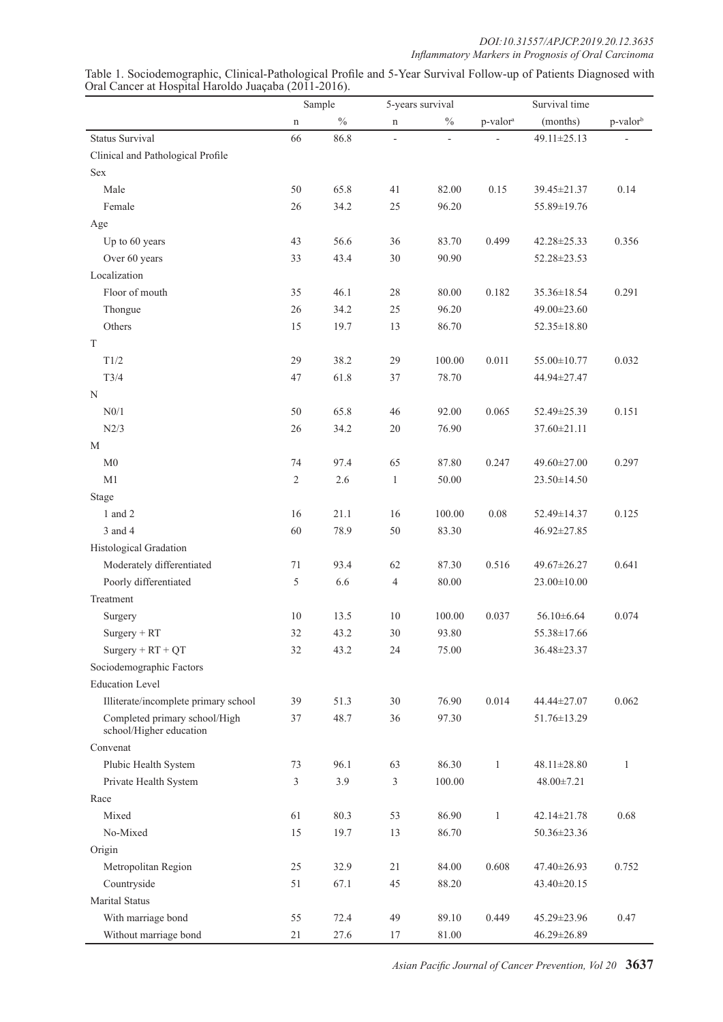|                                                          |                | Sample<br>5-years survival |                | Survival time            |                      |                   |                      |
|----------------------------------------------------------|----------------|----------------------------|----------------|--------------------------|----------------------|-------------------|----------------------|
|                                                          | $\mathbf n$    | $\frac{0}{0}$              | n              | $\%$                     | p-valor <sup>a</sup> | (months)          | p-valor <sup>b</sup> |
| <b>Status Survival</b>                                   | 66             | 86.8                       | $\overline{a}$ | $\overline{\phantom{a}}$ |                      | 49.11±25.13       |                      |
| Clinical and Pathological Profile                        |                |                            |                |                          |                      |                   |                      |
| <b>Sex</b>                                               |                |                            |                |                          |                      |                   |                      |
| Male                                                     | 50             | 65.8                       | 41             | 82.00                    | 0.15                 | 39.45±21.37       | 0.14                 |
| Female                                                   | 26             | 34.2                       | 25             | 96.20                    |                      | 55.89±19.76       |                      |
| Age                                                      |                |                            |                |                          |                      |                   |                      |
| Up to 60 years                                           | 43             | 56.6                       | 36             | 83.70                    | 0.499                | 42.28±25.33       | 0.356                |
| Over 60 years                                            | 33             | 43.4                       | $30\,$         | 90.90                    |                      | 52.28±23.53       |                      |
| Localization                                             |                |                            |                |                          |                      |                   |                      |
| Floor of mouth                                           | 35             | 46.1                       | 28             | 80.00                    | 0.182                | 35.36±18.54       | 0.291                |
| Thongue                                                  | 26             | 34.2                       | 25             | 96.20                    |                      | 49.00±23.60       |                      |
| Others                                                   | 15             | 19.7                       | 13             | 86.70                    |                      | 52.35 ± 18.80     |                      |
| T                                                        |                |                            |                |                          |                      |                   |                      |
| T1/2                                                     | 29             | 38.2                       | 29             | 100.00                   | 0.011                | 55.00±10.77       | 0.032                |
| T3/4                                                     | 47             | 61.8                       | 37             | 78.70                    |                      | 44.94±27.47       |                      |
| N                                                        |                |                            |                |                          |                      |                   |                      |
| N0/1                                                     | 50             | 65.8                       | 46             | 92.00                    | 0.065                | 52.49±25.39       | 0.151                |
| N2/3                                                     | 26             | 34.2                       | $20\,$         | 76.90                    |                      | 37.60±21.11       |                      |
| M                                                        |                |                            |                |                          |                      |                   |                      |
| M <sub>0</sub>                                           | 74             | 97.4                       | 65             | 87.80                    | 0.247                | 49.60±27.00       | 0.297                |
| M1                                                       | $\sqrt{2}$     | 2.6                        | $\mathbf{1}$   | 50.00                    |                      | 23.50±14.50       |                      |
| <b>Stage</b>                                             |                |                            |                |                          |                      |                   |                      |
| 1 and 2                                                  | 16             | 21.1                       | 16             | 100.00                   | 0.08                 | 52.49±14.37       | 0.125                |
| 3 and 4                                                  | 60             | 78.9                       | $50\,$         | 83.30                    |                      | 46.92±27.85       |                      |
| Histological Gradation                                   |                |                            |                |                          |                      |                   |                      |
| Moderately differentiated                                | 71             | 93.4                       | 62             | 87.30                    | 0.516                | 49.67±26.27       | 0.641                |
| Poorly differentiated                                    | 5              | 6.6                        | $\overline{4}$ | 80.00                    |                      | $23.00 \pm 10.00$ |                      |
| Treatment                                                |                |                            |                |                          |                      |                   |                      |
| Surgery                                                  | 10             | 13.5                       | 10             | 100.00                   | 0.037                | 56.10±6.64        | 0.074                |
| $Surgery + RT$                                           | 32             | 43.2                       | 30             | 93.80                    |                      | 55.38±17.66       |                      |
| $Surgery + RT + QT$                                      | 32             | 43.2                       | 24             | 75.00                    |                      | 36.48±23.37       |                      |
| Sociodemographic Factors                                 |                |                            |                |                          |                      |                   |                      |
| <b>Education Level</b>                                   |                |                            |                |                          |                      |                   |                      |
| Illiterate/incomplete primary school                     | 39             | 51.3                       | 30             | 76.90                    | 0.014                | 44.44±27.07       | 0.062                |
| Completed primary school/High<br>school/Higher education | 37             | 48.7                       | 36             | 97.30                    |                      | 51.76±13.29       |                      |
| Convenat                                                 |                |                            |                |                          |                      |                   |                      |
| Plubic Health System                                     | 73             | 96.1                       | 63             | 86.30                    | $\mathbf{1}$         | 48.11±28.80       | $\mathbf{1}$         |
| Private Health System                                    | $\mathfrak{Z}$ | 3.9                        | 3              | 100.00                   |                      | $48.00 \pm 7.21$  |                      |
| Race                                                     |                |                            |                |                          |                      |                   |                      |
| Mixed                                                    | 61             | 80.3                       | 53             | 86.90                    | $\mathbf{1}$         | 42.14±21.78       | 0.68                 |
| No-Mixed                                                 | 15             | 19.7                       | 13             | 86.70                    |                      | 50.36±23.36       |                      |
| Origin                                                   |                |                            |                |                          |                      |                   |                      |
| Metropolitan Region                                      | 25             | 32.9                       | 21             | 84.00                    | 0.608                | 47.40±26.93       | 0.752                |
| Countryside                                              | 51             | 67.1                       | 45             | 88.20                    |                      | 43.40±20.15       |                      |
| <b>Marital Status</b>                                    |                |                            |                |                          |                      |                   |                      |
| With marriage bond                                       | 55             | 72.4                       | 49             | 89.10                    | 0.449                | 45.29±23.96       | 0.47                 |
| Without marriage bond                                    | 21             | 27.6                       | 17             | 81.00                    |                      | 46.29±26.89       |                      |

Table 1. Sociodemographic, Clinical-Pathological Profile and 5-Year Survival Follow-up of Patients Diagnosed with Oral Cancer at Hospital Haroldo Juaçaba (2011-2016).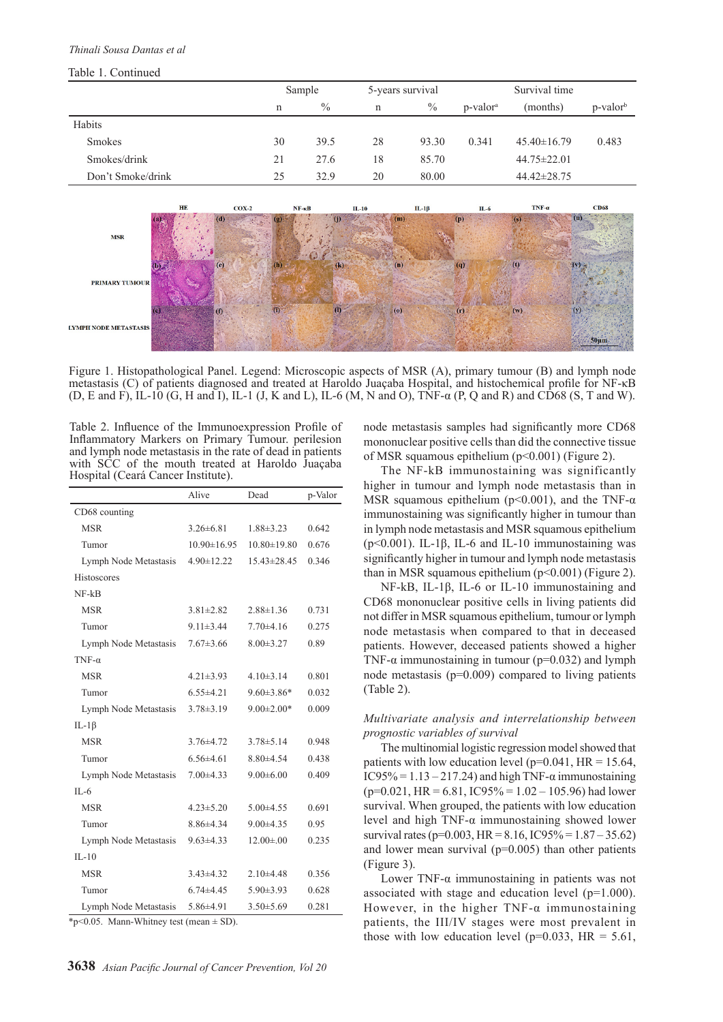#### *Thinali Sousa Dantas et al*

#### Table 1. Continued

|                   |    | Sample        |    | 5-years survival |                      | Survival time     |                      |  |
|-------------------|----|---------------|----|------------------|----------------------|-------------------|----------------------|--|
|                   | n  | $\frac{0}{0}$ | n  | $\%$             | p-valor <sup>a</sup> | (months)          | p-valor <sup>b</sup> |  |
| Habits            |    |               |    |                  |                      |                   |                      |  |
| <b>Smokes</b>     | 30 | 39.5          | 28 | 93.30            | 0.341                | $45.40 \pm 16.79$ | 0.483                |  |
| Smokes/drink      | 21 | 27.6          | 18 | 85.70            |                      | $44.75 \pm 22.01$ |                      |  |
| Don't Smoke/drink | 25 | 32.9          | 20 | 80.00            |                      | $44.42 \pm 28.75$ |                      |  |
|                   |    |               |    |                  |                      |                   |                      |  |



Figure 1. Histopathological Panel. Legend: Microscopic aspects of MSR (A), primary tumour (B) and lymph node metastasis (C) of patients diagnosed and treated at Haroldo Juaçaba Hospital, and histochemical profile for NF-κB (D, E and F), IL-10 (G, H and I), IL-1 (J, K and L), IL-6 (M, N and O), TNF-α (P, Q and R) and CD68 (S, T and W).

Table 2. Influence of the Immunoexpression Profile of Inflammatory Markers on Primary Tumour. perilesion and lymph node metastasis in the rate of dead in patients with SCC of the mouth treated at Haroldo Juaçaba Hospital (Ceará Cancer Institute).

|                       | Alive             | Dead              | p-Valor |
|-----------------------|-------------------|-------------------|---------|
| CD68 counting         |                   |                   |         |
| <b>MSR</b>            | $3.26 \pm 6.81$   | $1.88 \pm 3.23$   | 0.642   |
| Tumor                 | $10.90 \pm 16.95$ | $10.80 \pm 19.80$ | 0.676   |
| Lymph Node Metastasis | $4.90 \pm 12.22$  | $15.43 \pm 28.45$ | 0.346   |
| Histoscores           |                   |                   |         |
| $NF-kB$               |                   |                   |         |
| <b>MSR</b>            | $3.81 \pm 2.82$   | $2.88 \pm 1.36$   | 0.731   |
| Tumor                 | $9.11 \pm 3.44$   | $7.70\pm4.16$     | 0.275   |
| Lymph Node Metastasis | $7.67 \pm 3.66$   | $8.00 \pm 3.27$   | 0.89    |
| $TNF-\alpha$          |                   |                   |         |
| <b>MSR</b>            | $4.21 \pm 3.93$   | $4.10\pm3.14$     | 0.801   |
| Tumor                 | $6.55 \pm 4.21$   | $9.60 \pm 3.86*$  | 0.032   |
| Lymph Node Metastasis | $3.78 \pm 3.19$   | $9.00 \pm 2.00*$  | 0.009   |
| IL-1 $\beta$          |                   |                   |         |
| <b>MSR</b>            | $3.76 \pm 4.72$   | $3.78 \pm 5.14$   | 0.948   |
| Tumor                 | $6.56 \pm 4.61$   | $8.80{\pm}4.54$   | 0.438   |
| Lymph Node Metastasis | $7.00 \pm 4.33$   | $9.00 \pm 6.00$   | 0.409   |
| $II - 6$              |                   |                   |         |
| <b>MSR</b>            | $4.23 \pm 5.20$   | $5.00 \pm 4.55$   | 0.691   |
| Tumor                 | $8.86{\pm}4.34$   | $9.00 \pm 4.35$   | 0.95    |
| Lymph Node Metastasis | $9.63 \pm 4.33$   | $12.00 \pm .00$   | 0.235   |
| $II - 10$             |                   |                   |         |
| <b>MSR</b>            | $3.43\pm4.32$     | $2.10\pm4.48$     | 0.356   |
| Tumor                 | $6.74 \pm 4.45$   | $5.90 \pm 3.93$   | 0.628   |
| Lymph Node Metastasis | $5.86{\pm}4.91$   | $3.50 \pm 5.69$   | 0.281   |

 $*_{p \leq 0.05}$ . Mann-Whitney test (mean  $\pm$  SD).

node metastasis samples had significantly more CD68 mononuclear positive cells than did the connective tissue of MSR squamous epithelium (p<0.001) (Figure 2).

The NF-kB immunostaining was significantly higher in tumour and lymph node metastasis than in MSR squamous epithelium ( $p<0.001$ ), and the TNF- $\alpha$ immunostaining was significantly higher in tumour than in lymph node metastasis and MSR squamous epithelium ( $p$ <0.001). IL-1 $\beta$ , IL-6 and IL-10 immunostaining was significantly higher in tumour and lymph node metastasis than in MSR squamous epithelium  $(p<0.001)$  (Figure 2).

NF-kB, IL-1β, IL-6 or IL-10 immunostaining and CD68 mononuclear positive cells in living patients did not differ in MSR squamous epithelium, tumour or lymph node metastasis when compared to that in deceased patients. However, deceased patients showed a higher TNF- $\alpha$  immunostaining in tumour ( $p=0.032$ ) and lymph node metastasis (p=0.009) compared to living patients (Table 2).

## *Multivariate analysis and interrelationship between prognostic variables of survival*

The multinomial logistic regression model showed that patients with low education level ( $p=0.041$ , HR = 15.64, IC95% =  $1.13 - 217.24$ ) and high TNF- $\alpha$  immunostaining  $(p=0.021, HR = 6.81, IC95\% = 1.02 - 105.96)$  had lower survival. When grouped, the patients with low education level and high TNF-α immunostaining showed lower survival rates (p=0.003, HR = 8.16, IC95% =  $1.87 - 35.62$ ) and lower mean survival  $(p=0.005)$  than other patients (Figure 3).

Lower TNF- $α$  immunostaining in patients was not associated with stage and education level (p=1.000). However, in the higher  $TNF-\alpha$  immunostaining patients, the III/IV stages were most prevalent in those with low education level ( $p=0.033$ , HR = 5.61,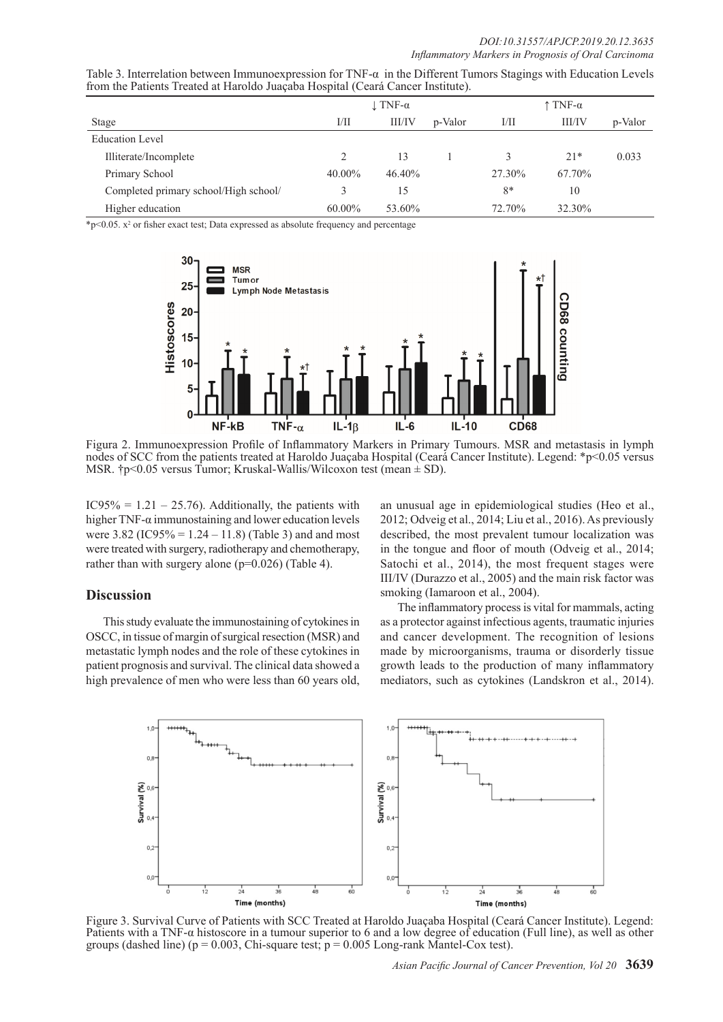| Table 3. Interrelation between Immunoexpression for TNF- $\alpha$ in the Different Tumors Stagings with Education Levels |  |  |
|--------------------------------------------------------------------------------------------------------------------------|--|--|
| from the Patients Treated at Haroldo Juaçaba Hospital (Ceará Cancer Institute).                                          |  |  |

|                                       |        | $\perp$ TNF- $\alpha$ |         |        | $\uparrow$ TNF- $\alpha$ |         |  |
|---------------------------------------|--------|-----------------------|---------|--------|--------------------------|---------|--|
| Stage                                 | 1/11   | <b>III/IV</b>         | p-Valor | 1/11   | <b>III/IV</b>            | p-Valor |  |
| <b>Education Level</b>                |        |                       |         |        |                          |         |  |
| Illiterate/Incomplete                 |        | 13                    |         |        | $21*$                    | 0.033   |  |
| Primary School                        | 40.00% | 46.40%                |         | 27.30% | 67.70%                   |         |  |
| Completed primary school/High school/ |        | 15                    |         | $8*$   | 10                       |         |  |
| Higher education                      | 60.00% | 53.60%                |         | 72.70% | 32.30%                   |         |  |

 $\text{*p<0.05. x}^2$  or fisher exact test; Data expressed as absolute frequency and percentage



Figura 2. Immunoexpression Profile of Inflammatory Markers in Primary Tumours. MSR and metastasis in lymph nodes of SCC from the patients treated at Haroldo Juaçaba Hospital (Ceará Cancer Institute). Legend: \*p<0.05 versus MSR.  $\uparrow$ p<0.05 versus Tumor; Kruskal-Wallis/Wilcoxon test (mean  $\pm$  SD).

IC95% =  $1.21 - 25.76$ ). Additionally, the patients with higher TNF- $\alpha$  immunostaining and lower education levels were  $3.82$  (IC95% = 1.24 – 11.8) (Table 3) and and most were treated with surgery, radiotherapy and chemotherapy, rather than with surgery alone (p=0.026) (Table 4).

## **Discussion**

This study evaluate the immunostaining of cytokines in OSCC, in tissue of margin of surgical resection (MSR) and metastatic lymph nodes and the role of these cytokines in patient prognosis and survival. The clinical data showed a high prevalence of men who were less than 60 years old,

an unusual age in epidemiological studies (Heo et al., 2012; Odveig et al., 2014; Liu et al., 2016). As previously described, the most prevalent tumour localization was in the tongue and floor of mouth (Odveig et al., 2014; Satochi et al., 2014), the most frequent stages were III/IV (Durazzo et al., 2005) and the main risk factor was smoking (Iamaroon et al., 2004).

The inflammatory process is vital for mammals, acting as a protector against infectious agents, traumatic injuries and cancer development. The recognition of lesions made by microorganisms, trauma or disorderly tissue growth leads to the production of many inflammatory mediators, such as cytokines (Landskron et al., 2014).



Figure 3. Survival Curve of Patients with SCC Treated at Haroldo Juaçaba Hospital (Ceará Cancer Institute). Legend: Patients with a TNF-α histoscore in a tumour superior to 6 and a low degree of education (Full line), as well as other groups (dashed line) ( $p = 0.003$ , Chi-square test;  $p = 0.005$  Long-rank Mantel-Cox test).

*Asian Pacific Journal of Cancer Prevention, Vol 20* **3639**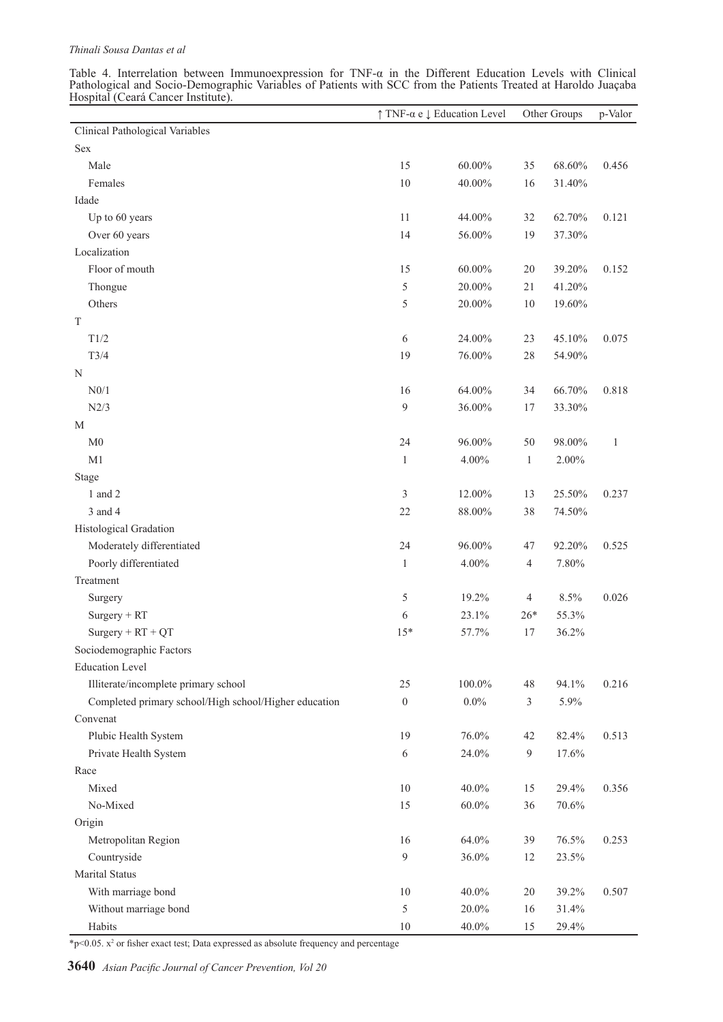Table 4. Interrelation between Immunoexpression for TNF-α in the Different Education Levels with Clinical Pathological and Socio-Demographic Variables of Patients with SCC from the Patients Treated at Haroldo Juaçaba Hospital (Ceará Cancer Institute).

|                                                       | $\uparrow$ TNF- $\alpha$ e $\downarrow$ Education Level |           | Other Groups   |        | p-Valor      |
|-------------------------------------------------------|---------------------------------------------------------|-----------|----------------|--------|--------------|
| Clinical Pathological Variables                       |                                                         |           |                |        |              |
| Sex                                                   |                                                         |           |                |        |              |
| Male                                                  | 15                                                      | $60.00\%$ | 35             | 68.60% | 0.456        |
| Females                                               | 10                                                      | 40.00%    | 16             | 31.40% |              |
| Idade                                                 |                                                         |           |                |        |              |
| Up to 60 years                                        | 11                                                      | 44.00%    | 32             | 62.70% | 0.121        |
| Over 60 years                                         | 14                                                      | 56.00%    | 19             | 37.30% |              |
| Localization                                          |                                                         |           |                |        |              |
| Floor of mouth                                        | 15                                                      | $60.00\%$ | 20             | 39.20% | 0.152        |
| Thongue                                               | 5                                                       | 20.00%    | 21             | 41.20% |              |
| Others                                                | 5                                                       | 20.00%    | 10             | 19.60% |              |
| $\mathbf T$                                           |                                                         |           |                |        |              |
| T1/2                                                  | 6                                                       | 24.00%    | 23             | 45.10% | 0.075        |
| T3/4                                                  | 19                                                      | 76.00%    | 28             | 54.90% |              |
| N                                                     |                                                         |           |                |        |              |
| N0/1                                                  | 16                                                      | 64.00%    | 34             | 66.70% | 0.818        |
| N2/3                                                  | 9                                                       | $36.00\%$ | 17             | 33.30% |              |
| M                                                     |                                                         |           |                |        |              |
| M <sub>0</sub>                                        | 24                                                      | 96.00%    | 50             | 98.00% | $\mathbf{1}$ |
| M1                                                    | $\mathbf{1}$                                            | $4.00\%$  | $\mathbf{1}$   | 2.00%  |              |
| Stage                                                 |                                                         |           |                |        |              |
| 1 and 2                                               | 3                                                       | 12.00%    | 13             | 25.50% | 0.237        |
| 3 and 4                                               | 22                                                      | $88.00\%$ | 38             | 74.50% |              |
| Histological Gradation                                |                                                         |           |                |        |              |
| Moderately differentiated                             | 24                                                      | 96.00%    | 47             | 92.20% | 0.525        |
| Poorly differentiated                                 | $\mathbf{1}$                                            | $4.00\%$  | $\overline{4}$ | 7.80%  |              |
| Treatment                                             |                                                         |           |                |        |              |
| Surgery                                               | 5                                                       | 19.2%     | $\overline{4}$ | 8.5%   | 0.026        |
| $Surgery + RT$                                        | 6                                                       | 23.1%     | $26*$          | 55.3%  |              |
| $Surgery + RT + QT$                                   | $15*$                                                   | 57.7%     | 17             | 36.2%  |              |
| Sociodemographic Factors                              |                                                         |           |                |        |              |
| <b>Education Level</b>                                |                                                         |           |                |        |              |
| Illiterate/incomplete primary school                  | 25                                                      | $100.0\%$ | 48             | 94.1%  | 0.216        |
| Completed primary school/High school/Higher education | $\boldsymbol{0}$                                        | $0.0\%$   | 3              | 5.9%   |              |
| Convenat                                              |                                                         |           |                |        |              |
| Plubic Health System                                  | 19                                                      | 76.0%     | 42             | 82.4%  | 0.513        |
| Private Health System                                 | 6                                                       | 24.0%     | $\overline{9}$ | 17.6%  |              |
| Race                                                  |                                                         |           |                |        |              |
| Mixed                                                 | 10                                                      | $40.0\%$  | 15             | 29.4%  | 0.356        |
| No-Mixed                                              | 15                                                      | $60.0\%$  | 36             | 70.6%  |              |
| Origin                                                |                                                         |           |                |        |              |
| Metropolitan Region                                   | 16                                                      | 64.0%     | 39             | 76.5%  | 0.253        |
| Countryside                                           | $\overline{9}$                                          | $36.0\%$  | 12             | 23.5%  |              |
| <b>Marital Status</b>                                 |                                                         |           |                |        |              |
| With marriage bond                                    | 10                                                      | 40.0%     | 20             | 39.2%  | 0.507        |
| Without marriage bond                                 | 5                                                       | 20.0%     | 16             | 31.4%  |              |
| Habits                                                | 10                                                      | $40.0\%$  | 15             | 29.4%  |              |
|                                                       |                                                         |           |                |        |              |

 $\gamma$  >0.05.  $x^2$  or fisher exact test; Data expressed as absolute frequency and percentage

**3640** *Asian Pacific Journal of Cancer Prevention, Vol 20*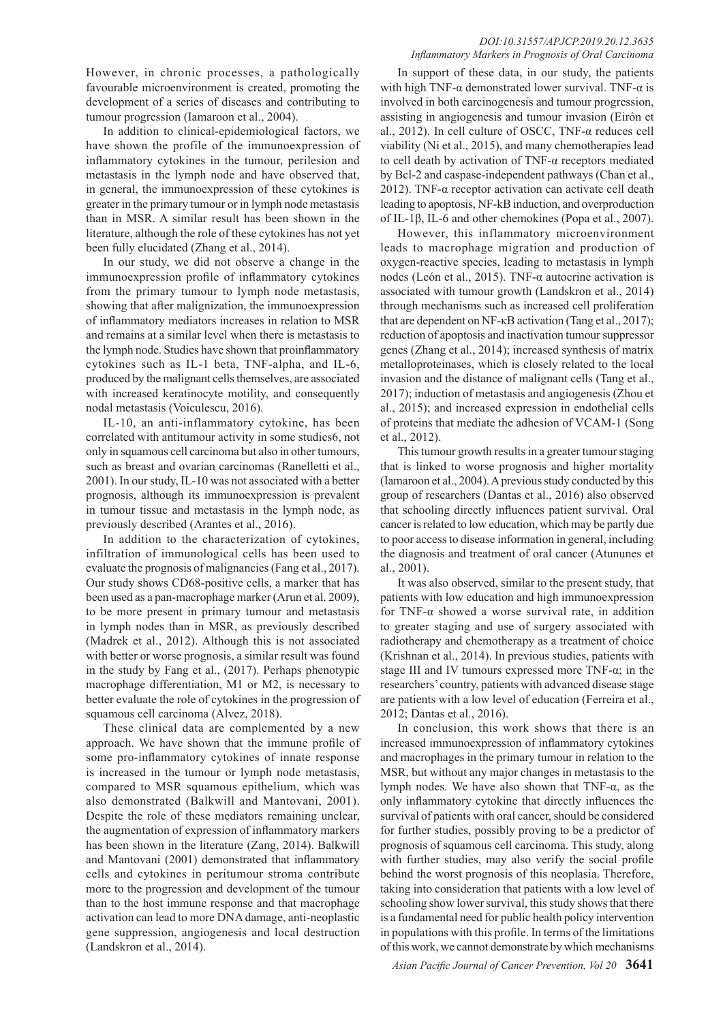However, in chronic processes, a pathologically favourable microenvironment is created, promoting the development of a series of diseases and contributing to tumour progression (Iamaroon et al., 2004).

In addition to clinical-epidemiological factors, we have shown the profile of the immunoexpression of inflammatory cytokines in the tumour, perilesion and metastasis in the lymph node and have observed that, in general, the immunoexpression of these cytokines is greater in the primary tumour or in lymph node metastasis than in MSR. A similar result has been shown in the literature, although the role of these cytokines has not yet been fully elucidated (Zhang et al., 2014).

In our study, we did not observe a change in the immunoexpression profile of inflammatory cytokines from the primary tumour to lymph node metastasis, showing that after malignization, the immunoexpression of inflammatory mediators increases in relation to MSR and remains at a similar level when there is metastasis to the lymph node. Studies have shown that proinflammatory cytokines such as IL-1 beta, TNF-alpha, and IL-6, produced by the malignant cells themselves, are associated with increased keratinocyte motility, and consequently nodal metastasis (Voiculescu, 2016).

IL-10, an anti-inflammatory cytokine, has been correlated with antitumour activity in some studies6, not only in squamous cell carcinoma but also in other tumours, such as breast and ovarian carcinomas (Ranelletti et al., 2001). In our study, IL-10 was not associated with a better prognosis, although its immunoexpression is prevalent in tumour tissue and metastasis in the lymph node, as previously described (Arantes et al., 2016).

In addition to the characterization of cytokines, infiltration of immunological cells has been used to evaluate the prognosis of malignancies (Fang et al., 2017). Our study shows CD68-positive cells, a marker that has been used as a pan-macrophage marker (Arun et al. 2009), to be more present in primary tumour and metastasis in lymph nodes than in MSR, as previously described (Madrek et al., 2012). Although this is not associated with better or worse prognosis, a similar result was found in the study by Fang et al., (2017). Perhaps phenotypic macrophage differentiation, M1 or M2, is necessary to better evaluate the role of cytokines in the progression of squamous cell carcinoma (Alvez, 2018).

These clinical data are complemented by a new approach. We have shown that the immune profile of some pro-inflammatory cytokines of innate response is increased in the tumour or lymph node metastasis, compared to MSR squamous epithelium, which was also demonstrated (Balkwill and Mantovani, 2001). Despite the role of these mediators remaining unclear, the augmentation of expression of inflammatory markers has been shown in the literature (Zang, 2014). Balkwill and Mantovani (2001) demonstrated that inflammatory cells and cytokines in peritumour stroma contribute more to the progression and development of the tumour than to the host immune response and that macrophage activation can lead to more DNA damage, anti-neoplastic gene suppression, angiogenesis and local destruction (Landskron et al., 2014).

#### *DOI:10.31557/APJCP.2019.20.12.3635 Inflammatory Markers in Prognosis of Oral Carcinoma*

In support of these data, in our study, the patients with high TNF- $\alpha$  demonstrated lower survival. TNF- $\alpha$  is involved in both carcinogenesis and tumour progression, assisting in angiogenesis and tumour invasion (Eirón et al., 2012). In cell culture of OSCC, TNF-α reduces cell viability (Ni et al., 2015), and many chemotherapies lead to cell death by activation of TNF-α receptors mediated by Bcl-2 and caspase-independent pathways (Chan et al., 2012). TNF-α receptor activation can activate cell death leading to apoptosis, NF-kB induction, and overproduction of IL-1β, IL-6 and other chemokines (Popa et al., 2007).

However, this inflammatory microenvironment leads to macrophage migration and production of oxygen-reactive species, leading to metastasis in lymph nodes (León et al., 2015). TNF-α autocrine activation is associated with tumour growth (Landskron et al., 2014) through mechanisms such as increased cell proliferation that are dependent on NF-κB activation (Tang et al., 2017); reduction of apoptosis and inactivation tumour suppressor genes (Zhang et al., 2014); increased synthesis of matrix metalloproteinases, which is closely related to the local invasion and the distance of malignant cells (Tang et al., 2017); induction of metastasis and angiogenesis (Zhou et al., 2015); and increased expression in endothelial cells of proteins that mediate the adhesion of VCAM-1 (Song et al., 2012).

This tumour growth results in a greater tumour staging that is linked to worse prognosis and higher mortality (Iamaroon et al., 2004). A previous study conducted by this group of researchers (Dantas et al., 2016) also observed that schooling directly influences patient survival. Oral cancer is related to low education, which may be partly due to poor access to disease information in general, including the diagnosis and treatment of oral cancer (Atununes et al., 2001).

It was also observed, similar to the present study, that patients with low education and high immunoexpression for TNF-α showed a worse survival rate, in addition to greater staging and use of surgery associated with radiotherapy and chemotherapy as a treatment of choice (Krishnan et al., 2014). In previous studies, patients with stage III and IV tumours expressed more TNF- $\alpha$ ; in the researchers' country, patients with advanced disease stage are patients with a low level of education (Ferreira et al., 2012; Dantas et al., 2016).

In conclusion, this work shows that there is an increased immunoexpression of inflammatory cytokines and macrophages in the primary tumour in relation to the MSR, but without any major changes in metastasis to the lymph nodes. We have also shown that TNF-α, as the only inflammatory cytokine that directly influences the survival of patients with oral cancer, should be considered for further studies, possibly proving to be a predictor of prognosis of squamous cell carcinoma. This study, along with further studies, may also verify the social profile behind the worst prognosis of this neoplasia. Therefore, taking into consideration that patients with a low level of schooling show lower survival, this study shows that there is a fundamental need for public health policy intervention in populations with this profile. In terms of the limitations of this work, we cannot demonstrate by which mechanisms